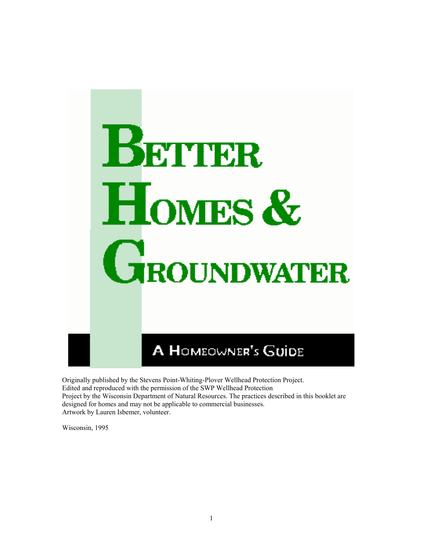

Originally published by the Stevens Point-Whiting-Plover Wellhead Protection Project. Edited and reproduced with the permission of the SWP Wellhead Protection Project by the Wisconsin Department of Natural Resources. The practices described in this booklet are designed for homes and may not be applicable to commercial businesses. Artwork by Lauren Isbemer, volunteer.

Wisconsin, 1995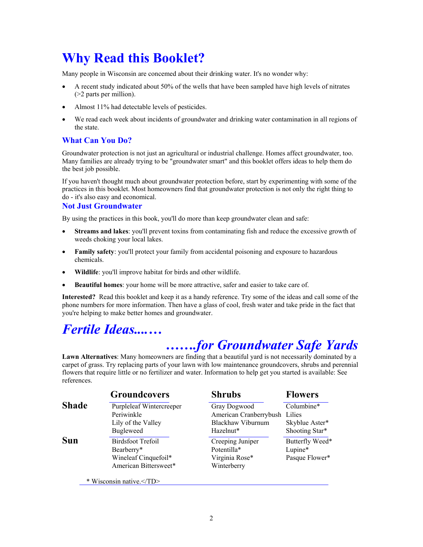# **Why Read this Booklet?**

Many people in Wisconsin are concemed about their drinking water. It's no wonder why:

- A recent study indicated about 50% of the wells that have been sampled have high levels of nitrates (>2 parts per million).
- Almost 11% had detectable levels of pesticides.
- We read each week about incidents of groundwater and drinking water contamination in all regions of the state.

## **What Can You Do?**

Groundwater protection is not just an agricultural or industrial challenge. Homes affect groundwater, too. Many families are already trying to be "groundwater smart" and this booklet offers ideas to help them do the best job possible.

If you haven't thought much about groundwater protection before, start by experimenting with some of the practices in this booklet. Most homeowners find that groundwater protection is not only the right thing to do - it's also easy and economical.

#### **Not Just Groundwater**

By using the practices in this book, you'll do more than keep groundwater clean and safe:

- **Streams and lakes**: you'll prevent toxins from contaminating fish and reduce the excessive growth of weeds choking your local lakes.
- **Family safety**: you'll protect your family from accidental poisoning and exposure to hazardous chemicals.
- **Wildlife**: you'll improve habitat for birds and other wildlife.
- **Beautiful homes**: your home will be more attractive, safer and easier to take care of.

**Interested?** Read this booklet and keep it as a handy reference. Try some of the ideas and call some of the phone numbers for more information. Then have a glass of cool, fresh water and take pride in the fact that you're helping to make better homes and groundwater.

# *Fertile Ideas....…*

# *…….for Groundwater Safe Yards*

**Lawn Alternatives**: Many homeowners are finding that a beautiful yard is not necessarily dominated by a carpet of grass. Try replacing parts of your lawn with low maintenance groundcovers, shrubs and perennial flowers that require little or no fertilizer and water. Information to help get you started is available: See references.

|              | <b>Groundcovers</b>      | <b>Shrubs</b>                 | <b>Flowers</b>  |  |  |
|--------------|--------------------------|-------------------------------|-----------------|--|--|
| <b>Shade</b> | Purpleleaf Wintercreeper | Gray Dogwood                  | Columbine*      |  |  |
|              | Periwinkle               | American Cranberrybush Lilies |                 |  |  |
|              | Lily of the Valley       | Blackhaw Viburnum             | Skyblue Aster*  |  |  |
|              | <b>Bugleweed</b>         | Hazelnut*                     | Shooting Star*  |  |  |
| <b>Sun</b>   | <b>Birdsfoot Trefoil</b> | Creeping Juniper              | Butterfly Weed* |  |  |
|              | Bearberry*               | Potentilla*                   | Lupine*         |  |  |
|              | Wineleaf Cinquefoil*     | Virginia Rose*                | Pasque Flower*  |  |  |
|              | American Bittersweet*    | Winterberry                   |                 |  |  |
|              | * Wisconsin native.      |                               |                 |  |  |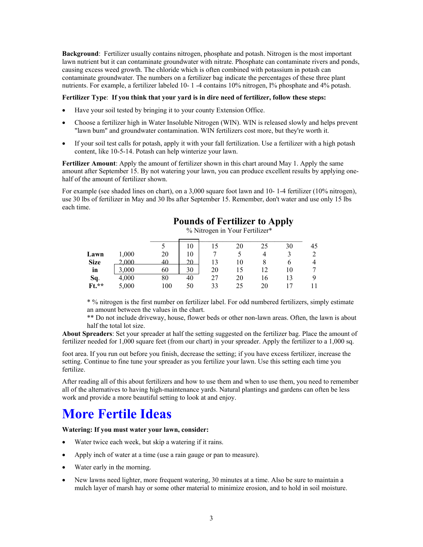**Background**: Fertilizer usually contains nitrogen, phosphate and potash. Nitrogen is the most important lawn nutrient but it can contaminate groundwater with nitrate. Phosphate can contaminate rivers and ponds, causing excess weed growth. The chloride which is often combined with potassium in potash can contaminate groundwater. The numbers on a fertilizer bag indicate the percentages of these three plant nutrients. For example, a fertilizer labeled 10- 1 -4 contains 10% nitrogen, I% phosphate and 4% potash.

#### **Fertilizer Type**: **If you think that your yard is in dire need of fertilizer, follow these steps:**

- Have your soil tested by bringing it to your county Extension Office.
- Choose a fertilizer high in Water Insoluble Nitrogen (WIN). WIN is released slowly and helps prevent "lawn bum" and groundwater contamination. WIN fertilizers cost more, but they're worth it.
- If your soil test calls for potash, apply it with your fall fertilization. Use a fertilizer with a high potash content, like 10-5-14. Potash can help winterize your lawn.

**Fertilizer Amount**: Apply the amount of fertilizer shown in this chart around May 1. Apply the same amount after September 15. By not watering your lawn, you can produce excellent results by applying onehalf of the amount of fertilizer shown.

For example (see shaded lines on chart), on a 3,000 square foot lawn and 10-1-4 fertilizer (10% nitrogen), use 30 lbs of fertilizer in May and 30 lbs after September 15. Remember, don't water and use only 15 lbs each time.

## **Pounds of Fertilizer to Apply** % Nitrogen in Your Fertilizer\*  $\overline{\phantom{a}}$  , and the contract of the contract of the contract of the contract of the contract of the contract of the contract of the contract of the contract of the contract of the contract of the contract of the contrac 5 10 15 20 25 30 45

|             |       | ັ   | 10. |    | ΖU | 25  | 3U  | 40 |
|-------------|-------|-----|-----|----|----|-----|-----|----|
| Lawn        | 1,000 | 20  |     |    |    |     |     | 2  |
| <b>Size</b> | 2.000 |     | 20  |    |    |     |     |    |
| in          | 3,000 | 60  | 30  | 20 |    |     | l O |    |
| Sq.         | 4,000 | 80  | 40  |    | 20 | l 6 |     | 9  |
| $Ft.**$     | 5,000 | 100 | 50  |    | 25 | 20  |     |    |
|             |       |     |     |    |    |     |     |    |

\* % nitrogen is the first number on fertilizer label. For odd numbered fertilizers, simply estimate an amount between the values in the chart.

\*\* Do not include driveway, house, flower beds or other non-lawn areas. Often, the lawn is about half the total lot size.

**About Spreaders**: Set your spreader at half the setting suggested on the fertilizer bag. Place the amount of fertilizer needed for 1,000 square feet (from our chart) in your spreader. Apply the fertilizer to a 1,000 sq.

foot area. If you run out before you finish, decrease the setting; if you have excess fertilizer, increase the setting. Continue to fine tune your spreader as you fertilize your lawn. Use this setting each time you fertilize.

After reading all of this about fertilizers and how to use them and when to use them, you need to remember all of the alternatives to having high-maintenance yards. Natural plantings and gardens can often be less work and provide a more beautiful setting to look at and enjoy.

# **More Fertile Ideas**

#### **Watering: If you must water your lawn, consider:**

- Water twice each week, but skip a watering if it rains.
- Apply inch of water at a time (use a rain gauge or pan to measure).
- Water early in the morning.
- New lawns need lighter, more frequent watering, 30 minutes at a time. Also be sure to maintain a mulch layer of marsh hay or some other material to minimize erosion, and to hold in soil moisture.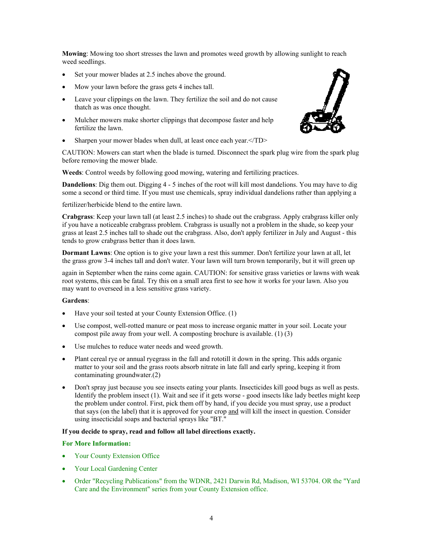**Mowing**: Mowing too short stresses the lawn and promotes weed growth by allowing sunlight to reach weed seedlings.

- Set your mower blades at 2.5 inches above the ground.
- Mow your lawn before the grass gets 4 inches tall.
- Leave your clippings on the lawn. They fertilize the soil and do not cause thatch as was once thought.
- Mulcher mowers make shorter clippings that decompose faster and help fertilize the lawn.
- Sharpen your mower blades when dull, at least once each year.</TD>

CAUTION: Mowers can start when the blade is turned. Disconnect the spark plug wire from the spark plug before removing the mower blade.

**Weeds**: Control weeds by following good mowing, watering and fertilizing practices.

**Dandelions**: Dig them out. Digging 4 - 5 inches of the root will kill most dandelions. You may have to dig some a second or third time. If you must use chemicals, spray individual dandelions rather than applying a

fertilizer/herbicide blend to the entire lawn.

**Crabgrass**: Keep your lawn tall (at least 2.5 inches) to shade out the crabgrass. Apply crabgrass killer only if you have a noticeable crabgrass problem. Crabgrass is usually not a problem in the shade, so keep your grass at least 2.5 inches tall to shade out the crabgrass. Also, don't apply fertilizer in July and August - this tends to grow crabgrass better than it does lawn.

**Dormant Lawns**: One option is to give your lawn a rest this summer. Don't fertilize your lawn at all, let the grass grow 3-4 inches tall and don't water. Your lawn will turn brown temporarily, but it will green up

again in September when the rains come again. CAUTION: for sensitive grass varieties or lawns with weak root systems, this can be fatal. Try this on a small area first to see how it works for your lawn. Also you may want to overseed in a less sensitive grass variety.

#### **Gardens**:

- Have your soil tested at your County Extension Office. (1)
- Use compost, well-rotted manure or peat moss to increase organic matter in your soil. Locate your compost pile away from your well. A composting brochure is available. (1) (3)
- Use mulches to reduce water needs and weed growth.
- Plant cereal rye or annual ryegrass in the fall and rototill it down in the spring. This adds organic matter to your soil and the grass roots absorb nitrate in late fall and early spring, keeping it from contaminating groundwater.(2)
- Don't spray just because you see insects eating your plants. Insecticides kill good bugs as well as pests. Identify the problem insect (1). Wait and see if it gets worse - good insects like lady beetles might keep the problem under control. First, pick them off by hand, if you decide you must spray, use a product that says (on the label) that it is approved for your crop and will kill the insect in question. Consider using insecticidal soaps and bacterial sprays like "BT."

#### **If you decide to spray, read and follow all label directions exactly.**

#### **For More Information:**

- Your County Extension Office
- Your Local Gardening Center
- Order "Recycling Publications" from the WDNR, 2421 Darwin Rd, Madison, WI 53704. OR the "Yard Care and the Environment" series from your County Extension office.

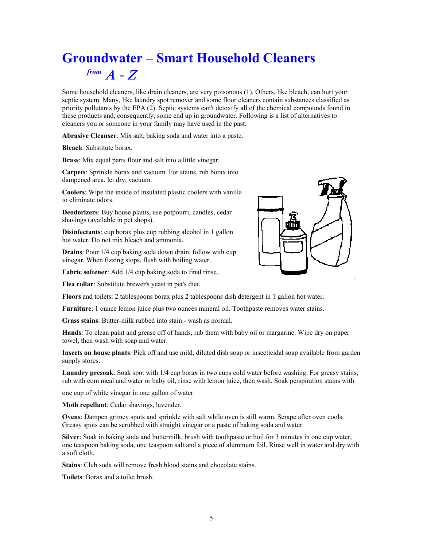# **Groundwater – Smart Household Cleaners**  $f$ *rom*  $A - Z$

Some household cleaners, like drain cleaners, are very poisonous (1). Others, like bleach, can hurt your septic system. Many, like laundry spot remover and some floor cleaners contain substances classified as priority pollutants by the EPA (2). Septic systems can't detoxify all of the chemical compounds found in these products and, consequently, some end up in groundwater. Following is a list of alternatives to cleaners you or someone in your family may have used in the past:

**Abrasive Cleanser**: Mix salt, baking soda and water into a paste.

**Bleach**: Substitute borax.

**Brass**: Mix equal parts flour and salt into a little vinegar.

**Carpets**: Sprinkle borax and vacuum. For stains, rub borax into dampened area, let dry, vacuum.

**Coolers**: Wipe the inside of insulated plastic coolers with vanilla to eliminate odors.

**Deodorizers**: Buy house plants, use potpourri, candles, cedar shavings (available in pet shops).

**Disinfectants**: cup borax plus cup rubbing alcohol in 1 gallon hot water. Do not mix bleach and ammonia.

**Drains**: Pour 1/4 cup baking soda down drain, follow with cup vinegar. When fizzing stops, flush with boiling water.

**Fabric softener**: Add 1/4 cup baking soda to final rinse.

**Flea collar**: Substitute brewer's yeast in pet's diet.



**Floors** and toilets: 2 tablespoons borax plus 2 tablespoons dish detergent in 1 gallon hot water.

**Furniture**: 1 ounce lemon juice plus two ounces mineral oil. Toothpaste removes water stains.

**Grass stains**: Butter-milk rubbed into stain - wash as normal.

**Hands**: To clean paint and grease off of hands, rub them with baby oil or margarine. Wipe dry on paper towel, then wash with soap and water.

**Insects on house plants**: Pick off and use mild, diluted dish soap or insecticidal soap available from garden supply stores.

**Laundry presoak**: Soak spot with 1/4 cup borax in two cups cold water before washing. For greasy stains, rub with com meal and water or baby oil, rinse with lemon juice, then wash. Soak perspiration stains with

one cup of white vinegar in one gallon of water.

**Moth repellant**: Cedar shavings, lavender.

**Ovens**: Dampen grimey spots and sprinkle with salt while oven is still warm. Scrape after oven cools. Greasy spots can be scrubbed with straight vinegar or a paste of baking soda and water.

**Silver**: Soak in baking soda and buttermilk, brush with toothpaste or boil for 3 minutes in one cup water, one teaspoon baking soda, one teaspoon salt and a piece of aluminum foil. Rinse well in water and dry with a soft cloth.

**Stains**: Club soda will remove fresh blood stains and chocolate stains.

**Toilets**: Borax and a toilet brush.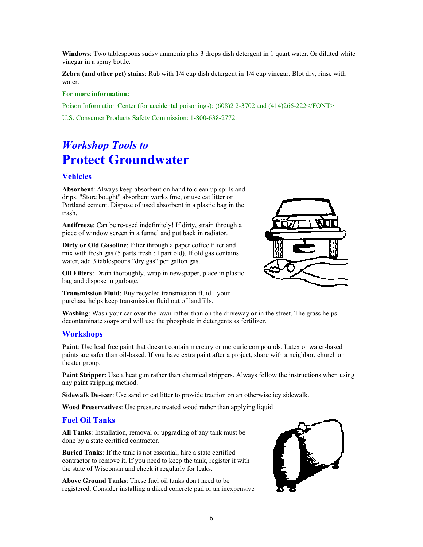**Windows**: Two tablespoons sudsy ammonia plus 3 drops dish detergent in 1 quart water. Or diluted white vinegar in a spray bottle.

**Zebra (and other pet) stains**: Rub with 1/4 cup dish detergent in 1/4 cup vinegar. Blot dry, rinse with water.

#### **For more information:**

Poison Information Center (for accidental poisonings): (608)2 2-3702 and (414)266-222</FONT>

U.S. Consumer Products Safety Commission: 1-800-638-2772.

# *Workshop Tools to* **Protect Groundwater**

### **Vehicles**

**Absorbent**: Always keep absorbent on hand to clean up spills and drips. "Store bought" absorbent works fme, or use cat litter or Portland cement. Dispose of used absorbent in a plastic bag in the trash.

**Antifreeze**: Can be re-used indefinitely! If dirty, strain through a piece of window screen in a funnel and put back in radiator.

**Dirty or Old Gasoline**: Filter through a paper coffee filter and mix with fresh gas (5 parts fresh : I part old). If old gas contains water, add 3 tablespoons "dry gas" per gallon gas.

**Oil Filters**: Drain thoroughly, wrap in newspaper, place in plastic bag and dispose in garbage.

**Transmission Fluid**: Buy recycled transmission fluid - your purchase helps keep transmission fluid out of landfills.



### **Workshops**

**Paint**: Use lead free paint that doesn't contain mercury or mercuric compounds. Latex or water-based paints are safer than oil-based. If you have extra paint after a project, share with a neighbor, church or theater group.

**Paint Stripper**: Use a heat gun rather than chemical strippers. Always follow the instructions when using any paint stripping method.

**Sidewalk De-icer**: Use sand or cat litter to provide traction on an otherwise icy sidewalk.

**Wood Preservatives**: Use pressure treated wood rather than applying liquid

decontaminate soaps and will use the phosphate in detergents as fertilizer.

### **Fuel Oil Tanks**

**All Tanks**: Installation, removal or upgrading of any tank must be done by a state certified contractor.

**Buried Tanks**: If the tank is not essential, hire a state certified contractor to remove it. If you need to keep the tank, register it with the state of Wisconsin and check it regularly for leaks.

**Above Ground Tanks**: These fuel oil tanks don't need to be registered. Consider installing a diked concrete pad or an inexpensive



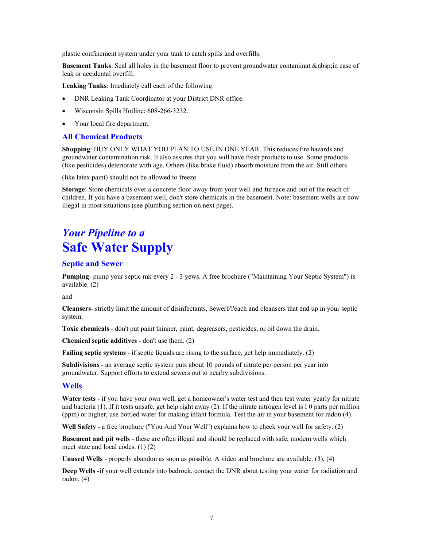plastic confinement system under your tank to catch spills and overfills.

**Basement Tanks**: Seal all holes in the basement floor to prevent groundwater contaminat in case of leak or accidental overfill.

**Leaking Tanks**: Imediately call each of the following:

- DNR Leaking Tank Coordinator at your District DNR office.
- Wisconsin Spills Hotline: 608-266-3232.
- Your local fire department.

#### **All Chemical Products**

**Shopping**: BUY ONLY WHAT YOU PLAN TO USE IN ONE YEAR. This reduces fire hazards and groundwater contamination risk. It also assures that you will have fresh products to use. Some products (like pesticides) deteriorate with age. Others (like brake fluid) absorb moisture from the air. Still others

(like latex paint) should not be allowed to freeze.

**Storage**: Store chemicals over a concrete floor away from your well and furnace and out of the reach of children. If you have a basement well, don't store chemicals in the basement. Note: basement wells are now illegal in most situations (see plumbing section on next page).

# *Your Pipeline to a* **Safe Water Supply**

#### **Septic and Sewer**

**Pumping**- pump your septic mk every 2 - 3 yews. A free brochure ("Maintaining Your Septic System") is available. (2)

and

**Cleansers***-* strictly limit the amount of disinfectants, Sewerb'l'each and cleansers that end up in your septic system.

**Toxic chemicals** - don't put paint thinner, paint, degreasers, pesticides, or oil down the drain.

**Chemical septic additives** - don't use them. (2)

**Failing septic systems** - if septic liquids are rising to the surface, get help immediately. (2)

**Subdivisions** - an average septic system puts about 10 pounds of nitrate per person per year into groundwater. Support efforts to extend sewers out to nearby subdivisions.

#### **Wells**

**Water tests** - if you have your own well, get a homeowner's water test and then test water yearly for nitrate and bacteria (1). If it tests unsafe, get help right away (2). If the nitrate nitrogen level is I 0 parts per million (ppm) or higher, use bottled water for making infant formula. Test the air in your basement for radon (4).

**Well Safety** - a free brochure ("You And Your Well") explains how to check your well for safety. (2)

**Basement and pit wells** - these are often illegal and should be replaced with safe, modem wells which meet state and local codes. (1) (2)

**Unused Wells** - properly abandon as soon as possible. A video and brochure are available. (3), (4)

**Deep Wells** -if your well extends into bedrock, contact the DNR about testing your water for radiation and radon. (4)